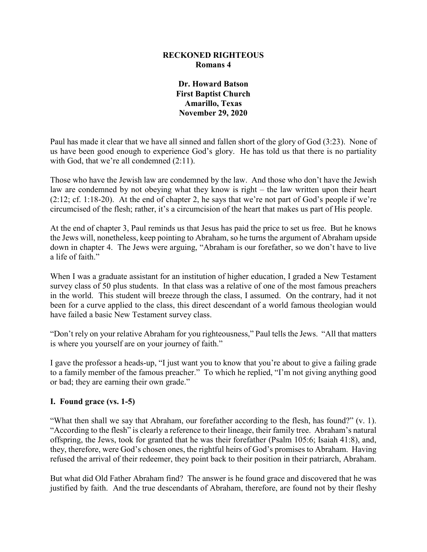#### **RECKONED RIGHTEOUS Romans 4**

**Dr. Howard Batson First Baptist Church Amarillo, Texas November 29, 2020**

Paul has made it clear that we have all sinned and fallen short of the glory of God (3:23). None of us have been good enough to experience God's glory. He has told us that there is no partiality with God, that we're all condemned  $(2:11)$ .

Those who have the Jewish law are condemned by the law. And those who don't have the Jewish law are condemned by not obeying what they know is right – the law written upon their heart (2:12; cf. 1:18-20). At the end of chapter 2, he says that we're not part of God's people if we're circumcised of the flesh; rather, it's a circumcision of the heart that makes us part of His people.

At the end of chapter 3, Paul reminds us that Jesus has paid the price to set us free. But he knows the Jews will, nonetheless, keep pointing to Abraham, so he turns the argument of Abraham upside down in chapter 4. The Jews were arguing, "Abraham is our forefather, so we don't have to live a life of faith."

When I was a graduate assistant for an institution of higher education, I graded a New Testament survey class of 50 plus students. In that class was a relative of one of the most famous preachers in the world. This student will breeze through the class, I assumed. On the contrary, had it not been for a curve applied to the class, this direct descendant of a world famous theologian would have failed a basic New Testament survey class.

"Don't rely on your relative Abraham for you righteousness," Paul tells the Jews. "All that matters is where you yourself are on your journey of faith."

I gave the professor a heads-up, "I just want you to know that you're about to give a failing grade to a family member of the famous preacher." To which he replied, "I'm not giving anything good or bad; they are earning their own grade."

## **I. Found grace (vs. 1-5)**

"What then shall we say that Abraham, our forefather according to the flesh, has found?" (v. 1). "According to the flesh" is clearly a reference to their lineage, their family tree. Abraham's natural offspring, the Jews, took for granted that he was their forefather (Psalm 105:6; Isaiah 41:8), and, they, therefore, were God's chosen ones, the rightful heirs of God's promises to Abraham. Having refused the arrival of their redeemer, they point back to their position in their patriarch, Abraham.

But what did Old Father Abraham find? The answer is he found grace and discovered that he was justified by faith. And the true descendants of Abraham, therefore, are found not by their fleshy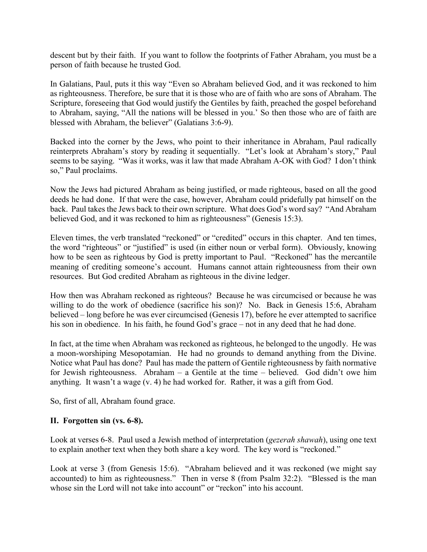descent but by their faith. If you want to follow the footprints of Father Abraham, you must be a person of faith because he trusted God.

In Galatians, Paul, puts it this way "Even so Abraham believed God, and it was reckoned to him as righteousness. Therefore, be sure that it is those who are of faith who are sons of Abraham. The Scripture, foreseeing that God would justify the Gentiles by faith, preached the gospel beforehand to Abraham, saying, "All the nations will be blessed in you.' So then those who are of faith are blessed with Abraham, the believer" (Galatians 3:6-9).

Backed into the corner by the Jews, who point to their inheritance in Abraham, Paul radically reinterprets Abraham's story by reading it sequentially. "Let's look at Abraham's story," Paul seems to be saying. "Was it works, was it law that made Abraham A-OK with God? I don't think so," Paul proclaims.

Now the Jews had pictured Abraham as being justified, or made righteous, based on all the good deeds he had done. If that were the case, however, Abraham could pridefully pat himself on the back. Paul takes the Jews back to their own scripture. What does God's word say? "And Abraham believed God, and it was reckoned to him as righteousness" (Genesis 15:3).

Eleven times, the verb translated "reckoned" or "credited" occurs in this chapter. And ten times, the word "righteous" or "justified" is used (in either noun or verbal form). Obviously, knowing how to be seen as righteous by God is pretty important to Paul. "Reckoned" has the mercantile meaning of crediting someone's account. Humans cannot attain righteousness from their own resources. But God credited Abraham as righteous in the divine ledger.

How then was Abraham reckoned as righteous? Because he was circumcised or because he was willing to do the work of obedience (sacrifice his son)? No. Back in Genesis 15:6, Abraham believed – long before he was ever circumcised (Genesis 17), before he ever attempted to sacrifice his son in obedience. In his faith, he found God's grace – not in any deed that he had done.

In fact, at the time when Abraham was reckoned as righteous, he belonged to the ungodly. He was a moon-worshiping Mesopotamian. He had no grounds to demand anything from the Divine. Notice what Paul has done? Paul has made the pattern of Gentile righteousness by faith normative for Jewish righteousness. Abraham – a Gentile at the time – believed. God didn't owe him anything. It wasn't a wage (v. 4) he had worked for. Rather, it was a gift from God.

So, first of all, Abraham found grace.

## **II. Forgotten sin (vs. 6-8).**

Look at verses 6-8. Paul used a Jewish method of interpretation (*gezerah shawah*), using one text to explain another text when they both share a key word. The key word is "reckoned."

Look at verse 3 (from Genesis 15:6). "Abraham believed and it was reckoned (we might say accounted) to him as righteousness." Then in verse 8 (from Psalm 32:2). "Blessed is the man whose sin the Lord will not take into account" or "reckon" into his account.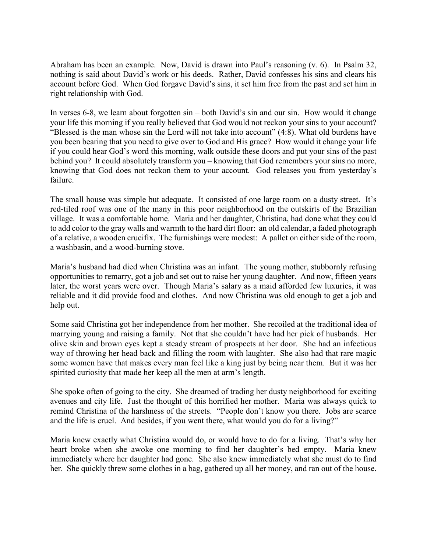Abraham has been an example. Now, David is drawn into Paul's reasoning (v. 6). In Psalm 32, nothing is said about David's work or his deeds. Rather, David confesses his sins and clears his account before God. When God forgave David's sins, it set him free from the past and set him in right relationship with God.

In verses 6-8, we learn about forgotten sin – both David's sin and our sin. How would it change your life this morning if you really believed that God would not reckon your sins to your account? "Blessed is the man whose sin the Lord will not take into account" (4:8). What old burdens have you been bearing that you need to give over to God and His grace? How would it change your life if you could hear God's word this morning, walk outside these doors and put your sins of the past behind you? It could absolutely transform you – knowing that God remembers your sins no more, knowing that God does not reckon them to your account. God releases you from yesterday's failure.

The small house was simple but adequate. It consisted of one large room on a dusty street. It's red-tiled roof was one of the many in this poor neighborhood on the outskirts of the Brazilian village. It was a comfortable home. Maria and her daughter, Christina, had done what they could to add color to the gray walls and warmth to the hard dirt floor: an old calendar, a faded photograph of a relative, a wooden crucifix. The furnishings were modest: A pallet on either side of the room, a washbasin, and a wood-burning stove.

Maria's husband had died when Christina was an infant. The young mother, stubbornly refusing opportunities to remarry, got a job and set out to raise her young daughter. And now, fifteen years later, the worst years were over. Though Maria's salary as a maid afforded few luxuries, it was reliable and it did provide food and clothes. And now Christina was old enough to get a job and help out.

Some said Christina got her independence from her mother. She recoiled at the traditional idea of marrying young and raising a family. Not that she couldn't have had her pick of husbands. Her olive skin and brown eyes kept a steady stream of prospects at her door. She had an infectious way of throwing her head back and filling the room with laughter. She also had that rare magic some women have that makes every man feel like a king just by being near them. But it was her spirited curiosity that made her keep all the men at arm's length.

She spoke often of going to the city. She dreamed of trading her dusty neighborhood for exciting avenues and city life. Just the thought of this horrified her mother. Maria was always quick to remind Christina of the harshness of the streets. "People don't know you there. Jobs are scarce and the life is cruel. And besides, if you went there, what would you do for a living?"

Maria knew exactly what Christina would do, or would have to do for a living. That's why her heart broke when she awoke one morning to find her daughter's bed empty. Maria knew immediately where her daughter had gone. She also knew immediately what she must do to find her. She quickly threw some clothes in a bag, gathered up all her money, and ran out of the house.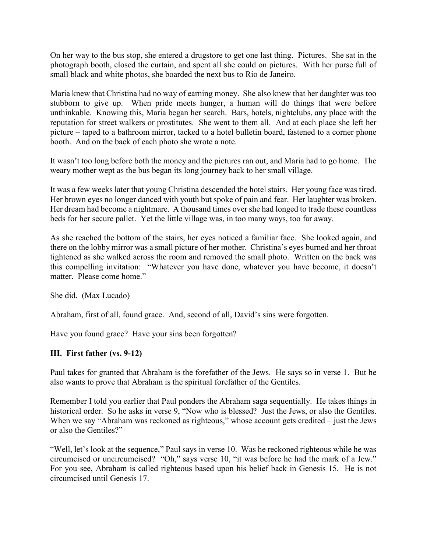On her way to the bus stop, she entered a drugstore to get one last thing. Pictures. She sat in the photograph booth, closed the curtain, and spent all she could on pictures. With her purse full of small black and white photos, she boarded the next bus to Rio de Janeiro.

Maria knew that Christina had no way of earning money. She also knew that her daughter was too stubborn to give up. When pride meets hunger, a human will do things that were before unthinkable. Knowing this, Maria began her search. Bars, hotels, nightclubs, any place with the reputation for street walkers or prostitutes. She went to them all. And at each place she left her picture – taped to a bathroom mirror, tacked to a hotel bulletin board, fastened to a corner phone booth. And on the back of each photo she wrote a note.

It wasn't too long before both the money and the pictures ran out, and Maria had to go home. The weary mother wept as the bus began its long journey back to her small village.

It was a few weeks later that young Christina descended the hotel stairs. Her young face was tired. Her brown eyes no longer danced with youth but spoke of pain and fear. Her laughter was broken. Her dream had become a nightmare. A thousand times over she had longed to trade these countless beds for her secure pallet. Yet the little village was, in too many ways, too far away.

As she reached the bottom of the stairs, her eyes noticed a familiar face. She looked again, and there on the lobby mirror was a small picture of her mother. Christina's eyes burned and her throat tightened as she walked across the room and removed the small photo. Written on the back was this compelling invitation: "Whatever you have done, whatever you have become, it doesn't matter. Please come home."

She did. (Max Lucado)

Abraham, first of all, found grace. And, second of all, David's sins were forgotten.

Have you found grace? Have your sins been forgotten?

## **III. First father (vs. 9-12)**

Paul takes for granted that Abraham is the forefather of the Jews. He says so in verse 1. But he also wants to prove that Abraham is the spiritual forefather of the Gentiles.

Remember I told you earlier that Paul ponders the Abraham saga sequentially. He takes things in historical order. So he asks in verse 9, "Now who is blessed? Just the Jews, or also the Gentiles. When we say "Abraham was reckoned as righteous," whose account gets credited – just the Jews or also the Gentiles?"

"Well, let's look at the sequence," Paul says in verse 10. Was he reckoned righteous while he was circumcised or uncircumcised? "Oh," says verse 10, "it was before he had the mark of a Jew." For you see, Abraham is called righteous based upon his belief back in Genesis 15. He is not circumcised until Genesis 17.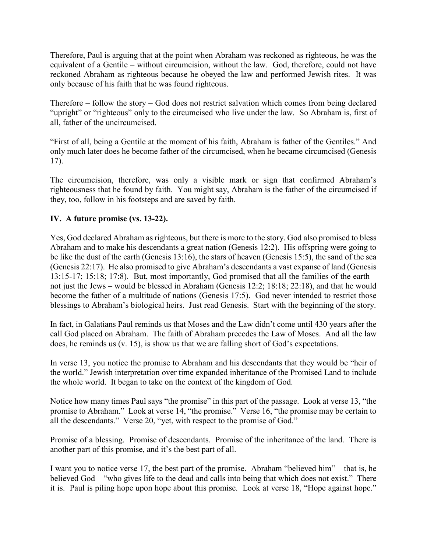Therefore, Paul is arguing that at the point when Abraham was reckoned as righteous, he was the equivalent of a Gentile – without circumcision, without the law. God, therefore, could not have reckoned Abraham as righteous because he obeyed the law and performed Jewish rites. It was only because of his faith that he was found righteous.

Therefore – follow the story – God does not restrict salvation which comes from being declared "upright" or "righteous" only to the circumcised who live under the law. So Abraham is, first of all, father of the uncircumcised.

"First of all, being a Gentile at the moment of his faith, Abraham is father of the Gentiles." And only much later does he become father of the circumcised, when he became circumcised (Genesis 17).

The circumcision, therefore, was only a visible mark or sign that confirmed Abraham's righteousness that he found by faith. You might say, Abraham is the father of the circumcised if they, too, follow in his footsteps and are saved by faith.

# **IV. A future promise (vs. 13-22).**

Yes, God declared Abraham as righteous, but there is more to the story. God also promised to bless Abraham and to make his descendants a great nation (Genesis 12:2). His offspring were going to be like the dust of the earth (Genesis 13:16), the stars of heaven (Genesis 15:5), the sand of the sea (Genesis 22:17). He also promised to give Abraham's descendants a vast expanse of land (Genesis 13:15-17; 15:18; 17:8). But, most importantly, God promised that all the families of the earth – not just the Jews – would be blessed in Abraham (Genesis 12:2; 18:18; 22:18), and that he would become the father of a multitude of nations (Genesis 17:5). God never intended to restrict those blessings to Abraham's biological heirs. Just read Genesis. Start with the beginning of the story.

In fact, in Galatians Paul reminds us that Moses and the Law didn't come until 430 years after the call God placed on Abraham. The faith of Abraham precedes the Law of Moses. And all the law does, he reminds us (v. 15), is show us that we are falling short of God's expectations.

In verse 13, you notice the promise to Abraham and his descendants that they would be "heir of the world." Jewish interpretation over time expanded inheritance of the Promised Land to include the whole world. It began to take on the context of the kingdom of God.

Notice how many times Paul says "the promise" in this part of the passage. Look at verse 13, "the promise to Abraham." Look at verse 14, "the promise." Verse 16, "the promise may be certain to all the descendants." Verse 20, "yet, with respect to the promise of God."

Promise of a blessing. Promise of descendants. Promise of the inheritance of the land. There is another part of this promise, and it's the best part of all.

I want you to notice verse 17, the best part of the promise. Abraham "believed him" – that is, he believed God – "who gives life to the dead and calls into being that which does not exist." There it is. Paul is piling hope upon hope about this promise. Look at verse 18, "Hope against hope."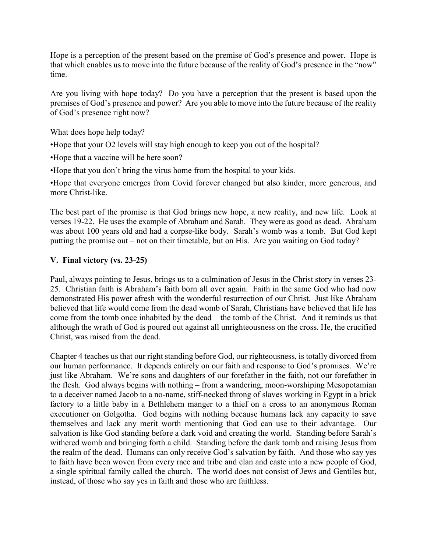Hope is a perception of the present based on the premise of God's presence and power. Hope is that which enables us to move into the future because of the reality of God's presence in the "now" time.

Are you living with hope today? Do you have a perception that the present is based upon the premises of God's presence and power? Are you able to move into the future because of the reality of God's presence right now?

What does hope help today?

•Hope that your O2 levels will stay high enough to keep you out of the hospital?

•Hope that a vaccine will be here soon?

•Hope that you don't bring the virus home from the hospital to your kids.

•Hope that everyone emerges from Covid forever changed but also kinder, more generous, and more Christ-like.

The best part of the promise is that God brings new hope, a new reality, and new life. Look at verses 19-22. He uses the example of Abraham and Sarah. They were as good as dead. Abraham was about 100 years old and had a corpse-like body. Sarah's womb was a tomb. But God kept putting the promise out – not on their timetable, but on His. Are you waiting on God today?

#### **V. Final victory (vs. 23-25)**

Paul, always pointing to Jesus, brings us to a culmination of Jesus in the Christ story in verses 23- 25. Christian faith is Abraham's faith born all over again. Faith in the same God who had now demonstrated His power afresh with the wonderful resurrection of our Christ. Just like Abraham believed that life would come from the dead womb of Sarah, Christians have believed that life has come from the tomb once inhabited by the dead – the tomb of the Christ. And it reminds us that although the wrath of God is poured out against all unrighteousness on the cross. He, the crucified Christ, was raised from the dead.

Chapter 4 teaches us that our right standing before God, our righteousness, is totally divorced from our human performance. It depends entirely on our faith and response to God's promises. We're just like Abraham. We're sons and daughters of our forefather in the faith, not our forefather in the flesh. God always begins with nothing – from a wandering, moon-worshiping Mesopotamian to a deceiver named Jacob to a no-name, stiff-necked throng of slaves working in Egypt in a brick factory to a little baby in a Bethlehem manger to a thief on a cross to an anonymous Roman executioner on Golgotha. God begins with nothing because humans lack any capacity to save themselves and lack any merit worth mentioning that God can use to their advantage. Our salvation is like God standing before a dark void and creating the world. Standing before Sarah's withered womb and bringing forth a child. Standing before the dank tomb and raising Jesus from the realm of the dead. Humans can only receive God's salvation by faith. And those who say yes to faith have been woven from every race and tribe and clan and caste into a new people of God, a single spiritual family called the church. The world does not consist of Jews and Gentiles but, instead, of those who say yes in faith and those who are faithless.